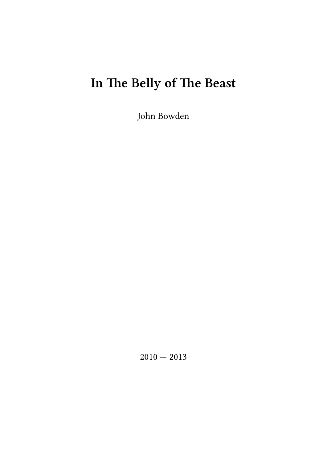# **In The Belly of The Beast**

John Bowden

 $2010 - 2013$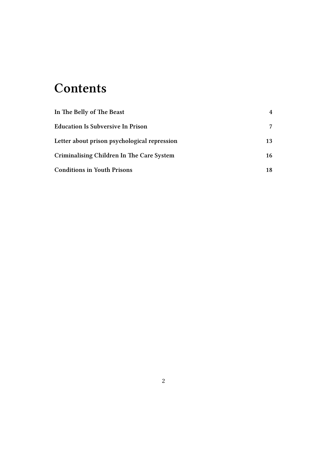### **Contents**

| In The Belly of The Beast                    | 4  |
|----------------------------------------------|----|
| <b>Education Is Subversive In Prison</b>     | 7  |
| Letter about prison psychological repression | 13 |
| Criminalising Children In The Care System    | 16 |
| <b>Conditions in Youth Prisons</b>           | 18 |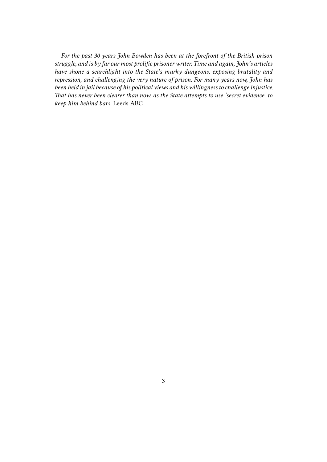*For the past 30 years John Bowden has been at the forefront of the British prison struggle, and is by far our most prolific prisoner writer. Time and again, John's articles have shone a searchlight into the State's murky dungeons, exposing brutality and repression, and challenging the very nature of prison. For many years now, John has been held in jail because of his political views and his willingness to challenge injustice. That has never been clearer than now, as the State attempts to use 'secret evidence' to keep him behind bars.* Leeds ABC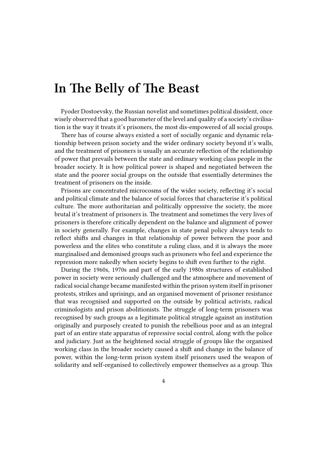### <span id="page-3-0"></span>**In The Belly of The Beast**

Fyoder Dostoevsky, the Russian novelist and sometimes political dissident, once wisely observed that a good barometer of the level and quality of a society's civilisation is the way it treats it's prisoners, the most dis-empowered of all social groups.

There has of course always existed a sort of socially organic and dynamic relationship between prison society and the wider ordinary society beyond it's walls, and the treatment of prisoners is usually an accurate reflection of the relationship of power that prevails between the state and ordinary working class people in the broader society. It is how political power is shaped and negotiated between the state and the poorer social groups on the outside that essentially determines the treatment of prisoners on the inside.

Prisons are concentrated microcosms of the wider society, reflecting it's social and political climate and the balance of social forces that characterise it's political culture. The more authoritarian and politically oppressive the society, the more brutal it's treatment of prisoners is. The treatment and sometimes the very lives of prisoners is therefore critically dependent on the balance and alignment of power in society generally. For example, changes in state penal policy always tends to reflect shifts and changes in that relationship of power between the poor and powerless and the elites who constitute a ruling class, and it is always the more marginalised and demonised groups such as prisoners who feel and experience the repression more nakedly when society begins to shift even further to the right.

During the 1960s, 1970s and part of the early 1980s structures of established power in society were seriously challenged and the atmosphere and movement of radical social change became manifested within the prison system itself in prisoner protests, strikes and uprisings, and an organised movement of prisoner resistance that was recognised and supported on the outside by political activists, radical criminologists and prison abolitionists. The struggle of long-term prisoners was recognised by such groups as a legitimate political struggle against an institution originally and purposely created to punish the rebellious poor and as an integral part of an entire state apparatus of repressive social control, along with the police and judiciary. Just as the heightened social struggle of groups like the organised working class in the broader society caused a shift and change in the balance of power, within the long-term prison system itself prisoners used the weapon of solidarity and self-organised to collectively empower themselves as a group. This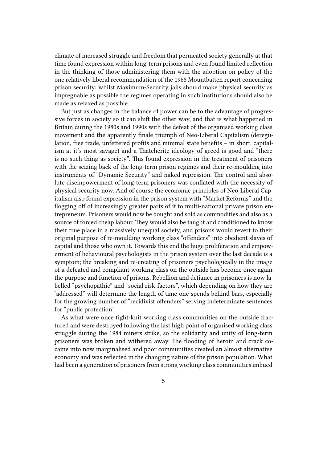climate of increased struggle and freedom that permeated society generally at that time found expression within long-term prisons and even found limited reflection in the thinking of those administering them with the adoption on policy of the one relatively liberal recommendation of the 1968 Mountbatten report concerning prison security: whilst Maximum-Security jails should make physical security as impregnable as possible the regimes operating in such institutions should also be made as relaxed as possible.

But just as changes in the balance of power can be to the advantage of progressive forces in society so it can shift the other way, and that is what happened in Britain during the 1980s and 1990s with the defeat of the organised working class movement and the apparently finale triumph of Neo-Liberal Capitalism (deregulation, free trade, unfettered profits and minimal state benefits – in short, capitalism at it's most savage) and a Thatcherite ideology of greed is good and "there is no such thing as society". This found expression in the treatment of prisoners with the seizing back of the long-term prison regimes and their re-moulding into instruments of "Dynamic Security" and naked repression. The control and absolute disempowerment of long-term prisoners was conflated with the necessity of physical security now. And of course the economic principles of Neo-Liberal Capitalism also found expression in the prison system with "Market Reforms" and the flogging off of increasingly greater parts of it to multi-national private prison entrepreneurs. Prisoners would now be bought and sold as commodities and also as a source of forced cheap labour. They would also be taught and conditioned to know their true place in a massively unequal society, and prisons would revert to their original purpose of re-moulding working class "offenders" into obedient slaves of capital and those who own it. Towards this end the huge proliferation and empowerment of behavioural psychologists in the prison system over the last decade is a symptom; the breaking and re-creating of prisoners psychologically in the image of a defeated and compliant working class on the outside has become once again the purpose and function of prisons. Rebellion and defiance in prisoners is now labelled "psychopathic" and "social risk-factors", which depending on how they are "addressed" will determine the length of time one spends behind bars, especially for the growing number of "recidivist offenders" serving indeterminate sentences for "public protection".

As what were once tight-knit working class communities on the outside fractured and were destroyed following the last high point of organised working class struggle during the 1984 miners strike, so the solidarity and unity of long-term prisoners was broken and withered away. The flooding of heroin and crack cocaine into now marginalised and poor communities created an almost alternative economy and was reflected in the changing nature of the prison population. What had been a generation of prisoners from strong working class communities imbued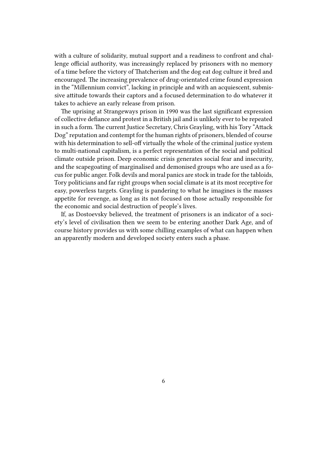with a culture of solidarity, mutual support and a readiness to confront and challenge official authority, was increasingly replaced by prisoners with no memory of a time before the victory of Thatcherism and the dog eat dog culture it bred and encouraged. The increasing prevalence of drug-orientated crime found expression in the "Millennium convict", lacking in principle and with an acquiescent, submissive attitude towards their captors and a focused determination to do whatever it takes to achieve an early release from prison.

The uprising at Strangeways prison in 1990 was the last significant expression of collective defiance and protest in a British jail and is unlikely ever to be repeated in such a form. The current Justice Secretary, Chris Grayling, with his Tory "Attack Dog" reputation and contempt for the human rights of prisoners, blended of course with his determination to sell-off virtually the whole of the criminal justice system to multi-national capitalism, is a perfect representation of the social and political climate outside prison. Deep economic crisis generates social fear and insecurity, and the scapegoating of marginalised and demonised groups who are used as a focus for public anger. Folk devils and moral panics are stock in trade for the tabloids, Tory politicians and far right groups when social climate is at its most receptive for easy, powerless targets. Grayling is pandering to what he imagines is the masses appetite for revenge, as long as its not focused on those actually responsible for the economic and social destruction of people's lives.

If, as Dostoevsky believed, the treatment of prisoners is an indicator of a society's level of civilisation then we seem to be entering another Dark Age, and of course history provides us with some chilling examples of what can happen when an apparently modern and developed society enters such a phase.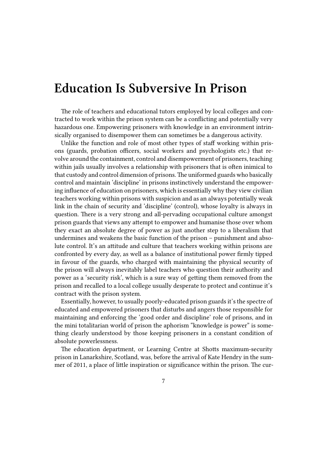#### <span id="page-6-0"></span>**Education Is Subversive In Prison**

The role of teachers and educational tutors employed by local colleges and contracted to work within the prison system can be a conflicting and potentially very hazardous one. Empowering prisoners with knowledge in an environment intrinsically organised to disempower them can sometimes be a dangerous activity.

Unlike the function and role of most other types of staff working within prisons (guards, probation officers, social workers and psychologists etc.) that revolve around the containment, control and disempowerment of prisoners, teaching within jails usually involves a relationship with prisoners that is often inimical to that custody and control dimension of prisons.The uniformed guards who basically control and maintain 'discipline' in prisons instinctively understand the empowering influence of education on prisoners, which is essentially why they view civilian teachers working within prisons with suspicion and as an always potentially weak link in the chain of security and 'discipline' (control), whose loyalty is always in question. There is a very strong and all-pervading occupational culture amongst prison guards that views any attempt to empower and humanise those over whom they exact an absolute degree of power as just another step to a liberalism that undermines and weakens the basic function of the prison – punishment and absolute control. It's an attitude and culture that teachers working within prisons are confronted by every day, as well as a balance of institutional power firmly tipped in favour of the guards, who charged with maintaining the physical security of the prison will always inevitably label teachers who question their authority and power as a 'security risk', which is a sure way of getting them removed from the prison and recalled to a local college usually desperate to protect and continue it's contract with the prison system.

Essentially, however, to usually poorly-educated prison guards it's the spectre of educated and empowered prisoners that disturbs and angers those responsible for maintaining and enforcing the 'good order and discipline' role of prisons, and in the mini totalitarian world of prison the aphorism "knowledge is power" is something clearly understood by those keeping prisoners in a constant condition of absolute powerlessness.

The education department, or Learning Centre at Shotts maximum-security prison in Lanarkshire, Scotland, was, before the arrival of Kate Hendry in the summer of 2011, a place of little inspiration or significance within the prison. The cur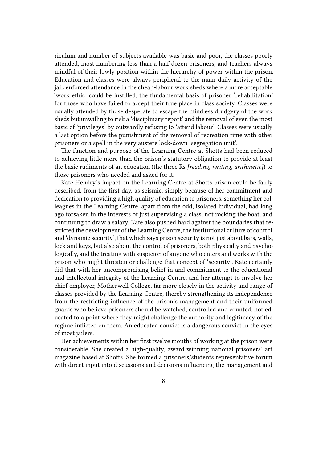riculum and number of subjects available was basic and poor, the classes poorly attended, most numbering less than a half-dozen prisoners, and teachers always mindful of their lowly position within the hierarchy of power within the prison. Education and classes were always peripheral to the main daily activity of the jail: enforced attendance in the cheap-labour work sheds where a more acceptable 'work ethic' could be instilled, the fundamental basis of prisoner 'rehabilitation' for those who have failed to accept their true place in class society. Classes were usually attended by those desperate to escape the mindless drudgery of the work sheds but unwilling to risk a 'disciplinary report' and the removal of even the most basic of 'privileges' by outwardly refusing to 'attend labour'. Classes were usually a last option before the punishment of the removal of recreation time with other prisoners or a spell in the very austere lock-down 'segregation unit'.

The function and purpose of the Learning Centre at Shotts had been reduced to achieving little more than the prison's statutory obligation to provide at least the basic rudiments of an education (the three Rs *[reading, writing, arithmetic]*) to those prisoners who needed and asked for it.

Kate Hendry's impact on the Learning Centre at Shotts prison could be fairly described, from the first day, as seismic, simply because of her commitment and dedication to providing a high quality of education to prisoners, something her colleagues in the Learning Centre, apart from the odd, isolated individual, had long ago forsaken in the interests of just supervising a class, not rocking the boat, and continuing to draw a salary. Kate also pushed hard against the boundaries that restricted the development of the Learning Centre, the institutional culture of control and 'dynamic security', that which says prison security is not just about bars, walls, lock and keys, but also about the control of prisoners, both physically and psychologically, and the treating with suspicion of anyone who enters and works with the prison who might threaten or challenge that concept of 'security'. Kate certainly did that with her uncompromising belief in and commitment to the educational and intellectual integrity of the Learning Centre, and her attempt to involve her chief employer, Motherwell College, far more closely in the activity and range of classes provided by the Learning Centre, thereby strengthening its independence from the restricting influence of the prison's management and their uniformed guards who believe prisoners should be watched, controlled and counted, not educated to a point where they might challenge the authority and legitimacy of the regime inflicted on them. An educated convict is a dangerous convict in the eyes of most jailers.

Her achievements within her first twelve months of working at the prison were considerable. She created a high-quality, award winning national prisoners' art magazine based at Shotts. She formed a prisoners/students representative forum with direct input into discussions and decisions influencing the management and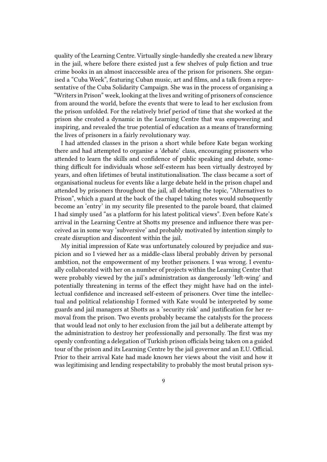quality of the Learning Centre. Virtually single-handedly she created a new library in the jail, where before there existed just a few shelves of pulp fiction and true crime books in an almost inaccessible area of the prison for prisoners. She organised a "Cuba Week", featuring Cuban music, art and films, and a talk from a representative of the Cuba Solidarity Campaign. She was in the process of organising a "Writers in Prison" week, looking at the lives and writing of prisoners of conscience from around the world, before the events that were to lead to her exclusion from the prison unfolded. For the relatively brief period of time that she worked at the prison she created a dynamic in the Learning Centre that was empowering and inspiring, and revealed the true potential of education as a means of transforming the lives of prisoners in a fairly revolutionary way.

I had attended classes in the prison a short while before Kate began working there and had attempted to organise a 'debate' class, encouraging prisoners who attended to learn the skills and confidence of public speaking and debate, something difficult for individuals whose self-esteem has been virtually destroyed by years, and often lifetimes of brutal institutionalisation. The class became a sort of organisational nucleus for events like a large debate held in the prison chapel and attended by prisoners throughout the jail, all debating the topic, "Alternatives to Prison", which a guard at the back of the chapel taking notes would subsequently become an 'entry' in my security file presented to the parole board, that claimed I had simply used "as a platform for his latest political views". Even before Kate's arrival in the Learning Centre at Shotts my presence and influence there was perceived as in some way 'subversive' and probably motivated by intention simply to create disruption and discontent within the jail.

My initial impression of Kate was unfortunately coloured by prejudice and suspicion and so I viewed her as a middle-class liberal probably driven by personal ambition, not the empowerment of my brother prisoners. I was wrong. I eventually collaborated with her on a number of projects within the Learning Centre that were probably viewed by the jail's administration as dangerously 'left-wing' and potentially threatening in terms of the effect they might have had on the intellectual confidence and increased self-esteem of prisoners. Over time the intellectual and political relationship I formed with Kate would be interpreted by some guards and jail managers at Shotts as a 'security risk' and justification for her removal from the prison. Two events probably became the catalysts for the process that would lead not only to her exclusion from the jail but a deliberate attempt by the administration to destroy her professionally and personally. The first was my openly confronting a delegation of Turkish prison officials being taken on a guided tour of the prison and its Learning Centre by the jail governor and an E.U. Official. Prior to their arrival Kate had made known her views about the visit and how it was legitimising and lending respectability to probably the most brutal prison sys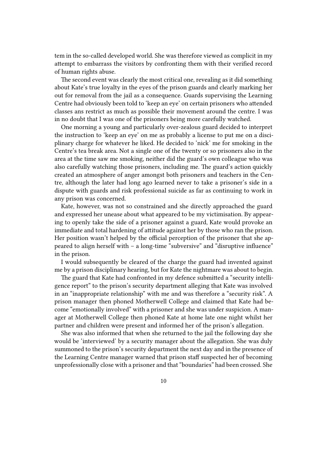tem in the so-called developed world. She was therefore viewed as complicit in my attempt to embarrass the visitors by confronting them with their verified record of human rights abuse.

The second event was clearly the most critical one, revealing as it did something about Kate's true loyalty in the eyes of the prison guards and clearly marking her out for removal from the jail as a consequence. Guards supervising the Learning Centre had obviously been told to 'keep an eye' on certain prisoners who attended classes ans restrict as much as possible their movement around the centre. I was in no doubt that I was one of the prisoners being more carefully watched.

One morning a young and particularly over-zealous guard decided to interpret the instruction to 'keep an eye' on me as probably a license to put me on a disciplinary charge for whatever he liked. He decided to 'nick' me for smoking in the Centre's tea break area. Not a single one of the twenty or so prisoners also in the area at the time saw me smoking, neither did the guard's own colleague who was also carefully watching those prisoners, including me. The guard's action quickly created an atmosphere of anger amongst both prisoners and teachers in the Centre, although the later had long ago learned never to take a prisoner's side in a dispute with guards and risk professional suicide as far as continuing to work in any prison was concerned.

Kate, however, was not so constrained and she directly approached the guard and expressed her unease about what appeared to be my victimisation. By appearing to openly take the side of a prisoner against a guard, Kate would provoke an immediate and total hardening of attitude against her by those who ran the prison. Her position wasn't helped by the official perception of the prisoner that she appeared to align herself with – a long-time "subversive" and "disruptive influence" in the prison.

I would subsequently be cleared of the charge the guard had invented against me by a prison disciplinary hearing, but for Kate the nightmare was about to begin.

The guard that Kate had confronted in my defence submitted a "security intelligence report" to the prison's security department alleging that Kate was involved in an "inappropriate relationship" with me and was therefore a "security risk". A prison manager then phoned Motherwell College and claimed that Kate had become "emotionally involved" with a prisoner and she was under suspicion. A manager at Motherwell College then phoned Kate at home late one night whilst her partner and children were present and informed her of the prison's allegation.

She was also informed that when she returned to the jail the following day she would be 'interviewed' by a security manager about the allegation. She was duly summoned to the prison's security department the next day and in the presence of the Learning Centre manager warned that prison staff suspected her of becoming unprofessionally close with a prisoner and that "boundaries" had been crossed. She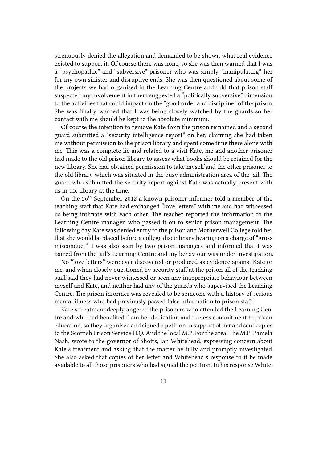strenuously denied the allegation and demanded to be shown what real evidence existed to support it. Of course there was none, so she was then warned that I was a "psychopathic" and "subversive" prisoner who was simply "manipulating" her for my own sinister and disruptive ends. She was then questioned about some of the projects we had organised in the Learning Centre and told that prison staff suspected my involvement in them suggested a "politically subversive" dimension to the activities that could impact on the "good order and discipline" of the prison. She was finally warned that I was being closely watched by the guards so her contact with me should be kept to the absolute minimum.

Of course the intention to remove Kate from the prison remained and a second guard submitted a "security intelligence report" on her, claiming she had taken me without permission to the prison library and spent some time there alone with me. This was a complete lie and related to a visit Kate, me and another prisoner had made to the old prison library to assess what books should be retained for the new library. She had obtained permission to take myself and the other prisoner to the old library which was situated in the busy administration area of the jail. The guard who submitted the security report against Kate was actually present with us in the library at the time.

On the 26<sup>th</sup> September 2012 a known prisoner informer told a member of the teaching staff that Kate had exchanged "love letters" with me and had witnessed us being intimate with each other. The teacher reported the information to the Learning Centre manager, who passed it on to senior prison management. The following day Kate was denied entry to the prison and Motherwell College told her that she would be placed before a college disciplinary hearing on a charge of "gross misconduct". I was also seen by two prison managers and informed that I was barred from the jail's Learning Centre and my behaviour was under investigation.

No "love letters" were ever discovered or produced as evidence against Kate or me, and when closely questioned by security staff at the prison all of the teaching staff said they had never witnessed or seen any inappropriate behaviour between myself and Kate, and neither had any of the guards who supervised the Learning Centre. The prison informer was revealed to be someone with a history of serious mental illness who had previously passed false information to prison staff.

Kate's treatment deeply angered the prisoners who attended the Learning Centre and who had benefited from her dedication and tireless commitment to prison education, so they organised and signed a petition in support of her and sent copies to the Scottish Prison Service H.Q. And the local M.P. For the area. The M.P. Pamela Nash, wrote to the governor of Shotts, Ian Whitehead, expressing concern about Kate's treatment and asking that the matter be fully and promptly investigated. She also asked that copies of her letter and Whitehead's response to it be made available to all those prisoners who had signed the petition. In his response White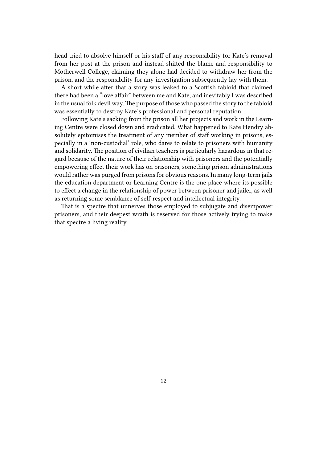head tried to absolve himself or his staff of any responsibility for Kate's removal from her post at the prison and instead shifted the blame and responsibility to Motherwell College, claiming they alone had decided to withdraw her from the prison, and the responsibility for any investigation subsequently lay with them.

A short while after that a story was leaked to a Scottish tabloid that claimed there had been a "love affair" between me and Kate, and inevitably I was described in the usual folk devil way. The purpose of those who passed the story to the tabloid was essentially to destroy Kate's professional and personal reputation.

Following Kate's sacking from the prison all her projects and work in the Learning Centre were closed down and eradicated. What happened to Kate Hendry absolutely epitomises the treatment of any member of staff working in prisons, especially in a 'non-custodial' role, who dares to relate to prisoners with humanity and solidarity. The position of civilian teachers is particularly hazardous in that regard because of the nature of their relationship with prisoners and the potentially empowering effect their work has on prisoners, something prison administrations would rather was purged from prisons for obvious reasons. In many long-term jails the education department or Learning Centre is the one place where its possible to effect a change in the relationship of power between prisoner and jailer, as well as returning some semblance of self-respect and intellectual integrity.

That is a spectre that unnerves those employed to subjugate and disempower prisoners, and their deepest wrath is reserved for those actively trying to make that spectre a living reality.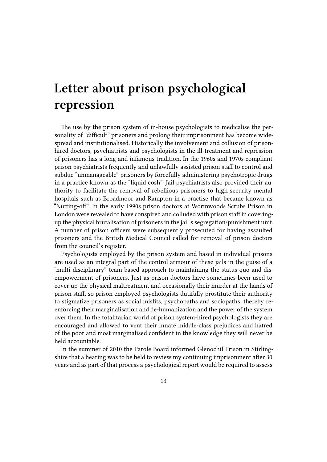# <span id="page-12-0"></span>**Letter about prison psychological repression**

The use by the prison system of in-house psychologists to medicalise the personality of "difficult" prisoners and prolong their imprisonment has become widespread and institutionalised. Historically the involvement and collusion of prisonhired doctors, psychiatrists and psychologists in the ill-treatment and repression of prisoners has a long and infamous tradition. In the 1960s and 1970s compliant prison psychiatrists frequently and unlawfully assisted prison staff to control and subdue "unmanageable" prisoners by forcefully administering psychotropic drugs in a practice known as the "liquid cosh". Jail psychiatrists also provided their authority to facilitate the removal of rebellious prisoners to high-security mental hospitals such as Broadmoor and Rampton in a practise that became known as "Nutting-off". In the early 1990s prison doctors at Wormwoods Scrubs Prison in London were revealed to have conspired and colluded with prison staff in coveringup the physical brutalisation of prisoners in the jail's segregation/punishment unit. A number of prison officers were subsequently prosecuted for having assaulted prisoners and the British Medical Council called for removal of prison doctors from the council's register.

Psychologists employed by the prison system and based in individual prisons are used as an integral part of the control armour of these jails in the guise of a "multi-disciplinary" team based approach to maintaining the status quo and disempowerment of prisoners. Just as prison doctors have sometimes been used to cover up the physical maltreatment and occasionally their murder at the hands of prison staff, so prison employed psychologists dutifully prostitute their authority to stigmatize prisoners as social misfits, psychopaths and sociopaths, thereby reenforcing their marginalisation and de-humanization and the power of the system over them. In the totalitarian world of prison system-hired psychologists they are encouraged and allowed to vent their innate middle-class prejudices and hatred of the poor and most marginalised confident in the knowledge they will never be held accountable.

In the summer of 2010 the Parole Board informed Glenochil Prison in Stirlingshire that a hearing was to be held to review my continuing imprisonment after 30 years and as part of that process a psychological report would be required to assess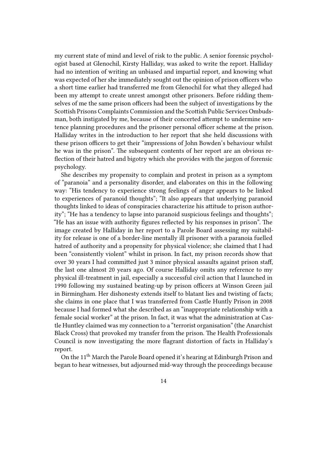my current state of mind and level of risk to the public. A senior forensic psychologist based at Glenochil, Kirsty Halliday, was asked to write the report. Halliday had no intention of writing an unbiased and impartial report, and knowing what was expected of her she immediately sought out the opinion of prison officers who a short time earlier had transferred me from Glenochil for what they alleged had been my attempt to create unrest amongst other prisoners. Before ridding themselves of me the same prison officers had been the subject of investigations by the Scottish Prisons Complaints Commission and the Scottish Public Services Ombudsman, both instigated by me, because of their concerted attempt to undermine sentence planning procedures and the prisoner personal officer scheme at the prison. Halliday writes in the introduction to her report that she held discussions with these prison officers to get their "impressions of John Bowden's behaviour whilst he was in the prison". The subsequent contents of her report are an obvious reflection of their hatred and bigotry which she provides with the jargon of forensic psychology.

She describes my propensity to complain and protest in prison as a symptom of "paranoia" and a personality disorder, and elaborates on this in the following way: "His tendency to experience strong feelings of anger appears to be linked to experiences of paranoid thoughts"; "It also appears that underlying paranoid thoughts linked to ideas of conspiracies characterize his attitude to prison authority"; "He has a tendency to lapse into paranoid suspicious feelings and thoughts"; "He has an issue with authority figures reflected by his responses in prison". The image created by Halliday in her report to a Parole Board assessing my suitability for release is one of a border-line mentally ill prisoner with a paranoia fuelled hatred of authority and a propensity for physical violence; she claimed that I had been "consistently violent" whilst in prison. In fact, my prison records show that over 30 years I had committed just 3 minor physical assaults against prison staff, the last one almost 20 years ago. Of course Halliday omits any reference to my physical ill-treatment in jail, especially a successful civil action that I launched in 1990 following my sustained beating-up by prison officers at Winson Green jail in Birmingham. Her dishonesty extends itself to blatant lies and twisting of facts; she claims in one place that I was transferred from Castle Huntly Prison in 2008 because I had formed what she described as an "inappropriate relationship with a female social worker" at the prison. In fact, it was what the administration at Castle Huntley claimed was my connection to a "terrorist organisation" (the Anarchist Black Cross) that provoked my transfer from the prison. The Health Professionals Council is now investigating the more flagrant distortion of facts in Halliday's report.

On the 11<sup>th</sup> March the Parole Board opened it's hearing at Edinburgh Prison and began to hear witnesses, but adjourned mid-way through the proceedings because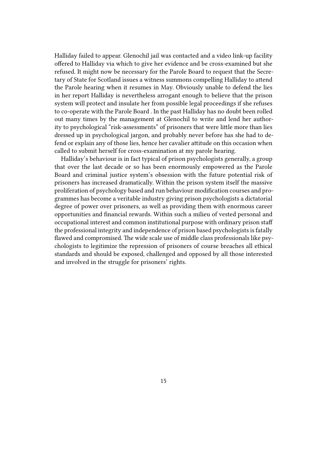Halliday failed to appear. Glenochil jail was contacted and a video link-up facility offered to Halliday via which to give her evidence and be cross-examined but she refused. It might now be necessary for the Parole Board to request that the Secretary of State for Scotland issues a witness summons compelling Halliday to attend the Parole hearing when it resumes in May. Obviously unable to defend the lies in her report Halliday is nevertheless arrogant enough to believe that the prison system will protect and insulate her from possible legal proceedings if she refuses to co-operate with the Parole Board . In the past Halliday has no doubt been rolled out many times by the management at Glenochil to write and lend her authority to psychological "risk-assessments" of prisoners that were little more than lies dressed up in psychological jargon, and probably never before has she had to defend or explain any of those lies, hence her cavalier attitude on this occasion when called to submit herself for cross-examination at my parole hearing.

Halliday's behaviour is in fact typical of prison psychologists generally, a group that over the last decade or so has been enormously empowered as the Parole Board and criminal justice system's obsession with the future potential risk of prisoners has increased dramatically. Within the prison system itself the massive proliferation of psychology based and run behaviour modification courses and programmes has become a veritable industry giving prison psychologists a dictatorial degree of power over prisoners, as well as providing them with enormous career opportunities and financial rewards. Within such a milieu of vested personal and occupational interest and common institutional purpose with ordinary prison staff the professional integrity and independence of prison based psychologists is fatally flawed and compromised. The wide scale use of middle class professionals like psychologists to legitimize the repression of prisoners of course breaches all ethical standards and should be exposed, challenged and opposed by all those interested and involved in the struggle for prisoners' rights.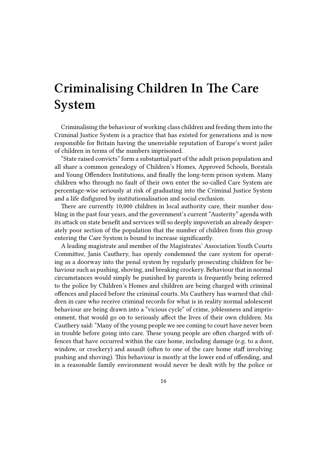# **Criminalising Children In The Care System**

Criminalising the behaviour of working class children and feeding them into the Criminal Justice System is a practice that has existed for generations and is now responsible for Britain having the unenviable reputation of Europe's worst jailer of children in terms of the numbers imprisoned.

"State raised convicts" form a substantial part of the adult prison population and all share a common genealogy of Children's Homes, Approved Schools, Borstals and Young Offenders Institutions, and finally the long-term prison system. Many children who through no fault of their own enter the so-called Care System are percentage-wise seriously at risk of graduating into the Criminal Justice System and a life disfigured by institutionalisation and social exclusion.

There are currently 10,000 children in local authority care, their number doubling in the past four years, and the government's current "Austerity" agenda with its attack on state benefit and services will so deeply impoverish an already desperately poor section of the population that the number of children from this group entering the Care System is bound to increase significantly.

A leading magistrate and member of the Magistrates' Association Youth Courts Committee, Janis Cauthery, has openly condemned the care system for operating as a doorway into the penal system by regularly prosecuting children for behaviour such as pushing, shoving, and breaking crockery. Behaviour that in normal circumstances would simply be punished by parents is frequently being referred to the police by Children's Homes and children are being charged with criminal offences and placed before the criminal courts. Ms Cauthery has warned that children in care who receive criminal records for what is in reality normal adolescent behaviour are being drawn into a "vicious cycle" of crime, joblessness and imprisonment, that would go on to seriously affect the lives of their own children. Ms Cauthery said: "Many of the young people we see coming to court have never been in trouble before going into care. These young people are often charged with offences that have occurred within the care home, including damage (e.g. to a door, window, or crockery) and assault (often to one of the care home staff involving pushing and shoving). This behaviour is mostly at the lower end of offending, and in a reasonable family environment would never be dealt with by the police or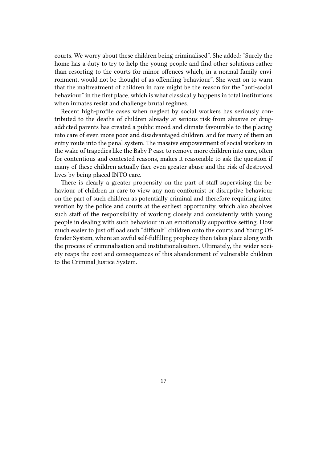courts. We worry about these children being criminalised". She added: "Surely the home has a duty to try to help the young people and find other solutions rather than resorting to the courts for minor offences which, in a normal family environment, would not be thought of as offending behaviour". She went on to warn that the maltreatment of children in care might be the reason for the "anti-social behaviour" in the first place, which is what classically happens in total institutions when inmates resist and challenge brutal regimes.

Recent high-profile cases when neglect by social workers has seriously contributed to the deaths of children already at serious risk from abusive or drugaddicted parents has created a public mood and climate favourable to the placing into care of even more poor and disadvantaged children, and for many of them an entry route into the penal system. The massive empowerment of social workers in the wake of tragedies like the Baby P case to remove more children into care, often for contentious and contested reasons, makes it reasonable to ask the question if many of these children actually face even greater abuse and the risk of destroyed lives by being placed INTO care.

There is clearly a greater propensity on the part of staff supervising the behaviour of children in care to view any non-conformist or disruptive behaviour on the part of such children as potentially criminal and therefore requiring intervention by the police and courts at the earliest opportunity, which also absolves such staff of the responsibility of working closely and consistently with young people in dealing with such behaviour in an emotionally supportive setting. How much easier to just offload such "difficult" children onto the courts and Young Offender System, where an awful self-fulfilling prophecy then takes place along with the process of criminalisation and institutionalisation. Ultimately, the wider society reaps the cost and consequences of this abandonment of vulnerable children to the Criminal Justice System.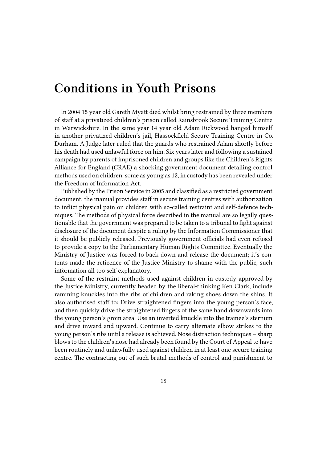### **Conditions in Youth Prisons**

In 2004 15 year old Gareth Myatt died whilst bring restrained by three members of staff at a privatized children's prison called Rainsbrook Secure Training Centre in Warwickshire. In the same year 14 year old Adam Rickwood hanged himself in another privatized children's jail, Hassockfield Secure Training Centre in Co. Durham. A Judge later ruled that the guards who restrained Adam shortly before his death had used unlawful force on him. Six years later and following a sustained campaign by parents of imprisoned children and groups like the Children's Rights Alliance for England (CRAE) a shocking government document detailing control methods used on children, some as young as 12, in custody has been revealed under the Freedom of Information Act.

Published by the Prison Service in 2005 and classified as a restricted government document, the manual provides staff in secure training centres with authorization to inflict physical pain on children with so-called restraint and self-defence techniques. The methods of physical force described in the manual are so legally questionable that the government was prepared to be taken to a tribunal to fight against disclosure of the document despite a ruling by the Information Commissioner that it should be publicly released. Previously government officials had even refused to provide a copy to the Parliamentary Human Rights Committee. Eventually the Ministry of Justice was forced to back down and release the document; it's contents made the reticence of the Justice Ministry to shame with the public, such information all too self-explanatory.

Some of the restraint methods used against children in custody approved by the Justice Ministry, currently headed by the liberal-thinking Ken Clark, include ramming knuckles into the ribs of children and raking shoes down the shins. It also authorised staff to: Drive straightened fingers into the young person's face, and then quickly drive the straightened fingers of the same hand downwards into the young person's groin area. Use an inverted knuckle into the trainee's sternum and drive inward and upward. Continue to carry alternate elbow strikes to the young person's ribs until a release is achieved. Nose distraction techniques – sharp blows to the children's nose had already been found by the Court of Appeal to have been routinely and unlawfully used against children in at least one secure training centre. The contracting out of such brutal methods of control and punishment to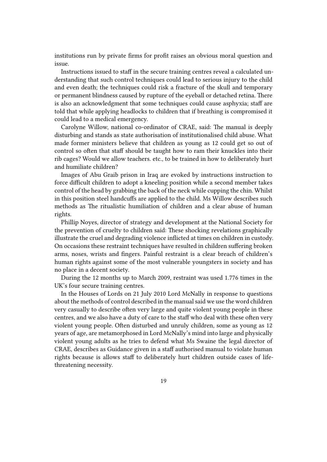institutions run by private firms for profit raises an obvious moral question and issue.

Instructions issued to staff in the secure training centres reveal a calculated understanding that such control techniques could lead to serious injury to the child and even death; the techniques could risk a fracture of the skull and temporary or permanent blindness caused by rupture of the eyeball or detached retina. There is also an acknowledgment that some techniques could cause asphyxia; staff are told that while applying headlocks to children that if breathing is compromised it could lead to a medical emergency.

Carolyne Willow, national co-ordinator of CRAE, said: The manual is deeply disturbing and stands as state authorisation of institutionalised child abuse. What made former ministers believe that children as young as 12 could get so out of control so often that staff should be taught how to ram their knuckles into their rib cages? Would we allow teachers. etc., to be trained in how to deliberately hurt and humiliate children?

Images of Abu Graib prison in Iraq are evoked by instructions instruction to force difficult children to adopt a kneeling position while a second member takes control of the head by grabbing the back of the neck while cupping the chin. Whilst in this position steel handcuffs are applied to the child. Ms Willow describes such methods as The ritualistic humiliation of children and a clear abuse of human rights.

Phillip Noyes, director of strategy and development at the National Society for the prevention of cruelty to children said: These shocking revelations graphically illustrate the cruel and degrading violence inflicted at times on children in custody. On occasions these restraint techniques have resulted in children suffering broken arms, noses, wrists and fingers. Painful restraint is a clear breach of children's human rights against some of the most vulnerable youngsters in society and has no place in a decent society.

During the 12 months up to March 2009, restraint was used 1.776 times in the UK's four secure training centres.

In the Houses of Lords on 21 July 2010 Lord McNally in response to questions about the methods of control described in the manual said we use the word children very casually to describe often very large and quite violent young people in these centres, and we also have a duty of care to the staff who deal with these often very violent young people. Often disturbed and unruly children, some as young as 12 years of age, are metamorphosed in Lord McNally's mind into large and physically violent young adults as he tries to defend what Ms Swaine the legal director of CRAE, describes as Guidance given in a staff authorised manual to violate human rights because is allows staff to deliberately hurt children outside cases of lifethreatening necessity.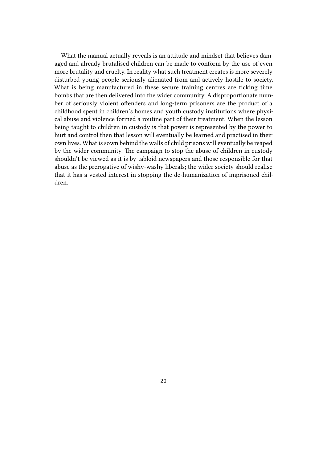What the manual actually reveals is an attitude and mindset that believes damaged and already brutalised children can be made to conform by the use of even more brutality and cruelty. In reality what such treatment creates is more severely disturbed young people seriously alienated from and actively hostile to society. What is being manufactured in these secure training centres are ticking time bombs that are then delivered into the wider community. A disproportionate number of seriously violent offenders and long-term prisoners are the product of a childhood spent in children's homes and youth custody institutions where physical abuse and violence formed a routine part of their treatment. When the lesson being taught to children in custody is that power is represented by the power to hurt and control then that lesson will eventually be learned and practised in their own lives. What is sown behind the walls of child prisons will eventually be reaped by the wider community. The campaign to stop the abuse of children in custody shouldn't be viewed as it is by tabloid newspapers and those responsible for that abuse as the prerogative of wishy-washy liberals; the wider society should realise that it has a vested interest in stopping the de-humanization of imprisoned children.